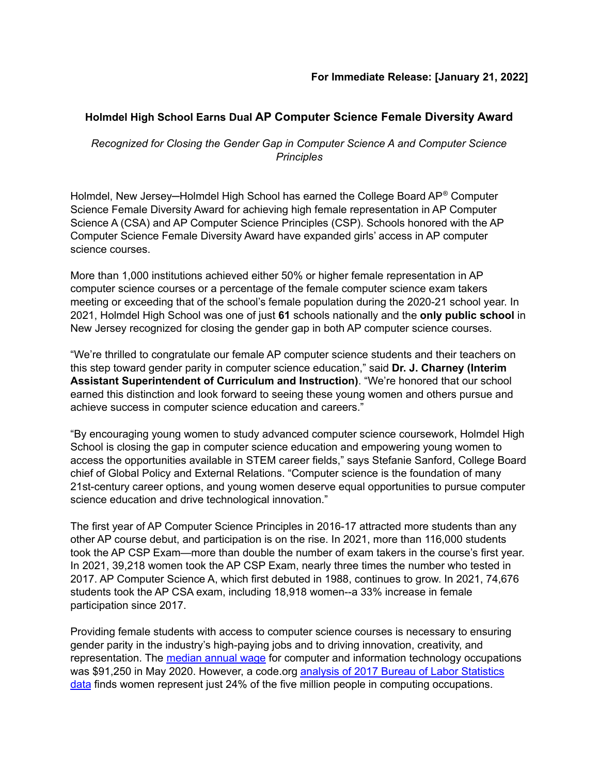## **Holmdel High School Earns Dual AP Computer Science Female Diversity Award**

*Recognized for Closing the Gender Gap in Computer Science A and Computer Science Principles*

Holmdel, New Jersey-Holmdel High School has earned the College Board AP® Computer Science Female Diversity Award for achieving high female representation in AP Computer Science A (CSA) and AP Computer Science Principles (CSP). Schools honored with the AP Computer Science Female Diversity Award have expanded girls' access in AP computer science courses.

More than 1,000 institutions achieved either 50% or higher female representation in AP computer science courses or a percentage of the female computer science exam takers meeting or exceeding that of the school's female population during the 2020-21 school year. In 2021, Holmdel High School was one of just **61** schools nationally and the **only public school** in New Jersey recognized for closing the gender gap in both AP computer science courses.

"We're thrilled to congratulate our female AP computer science students and their teachers on this step toward gender parity in computer science education," said **Dr. J. Charney (Interim Assistant Superintendent of Curriculum and Instruction)**. "We're honored that our school earned this distinction and look forward to seeing these young women and others pursue and achieve success in computer science education and careers."

"By encouraging young women to study advanced computer science coursework, Holmdel High School is closing the gap in computer science education and empowering young women to access the opportunities available in STEM career fields," says Stefanie Sanford, College Board chief of Global Policy and External Relations. "Computer science is the foundation of many 21st-century career options, and young women deserve equal opportunities to pursue computer science education and drive technological innovation."

The first year of AP Computer Science Principles in 2016-17 attracted more students than any other AP course debut, and participation is on the rise. In 2021, more than 116,000 students took the AP CSP Exam—more than double the number of exam takers in the course's first year. In 2021, 39,218 women took the AP CSP Exam, nearly three times the number who tested in 2017. AP Computer Science A, which first debuted in 1988, continues to grow. In 2021, 74,676 students took the AP CSA exam, including 18,918 women--a 33% increase in female participation since 2017.

Providing female students with access to computer science courses is necessary to ensuring gender parity in the industry's high-paying jobs and to driving innovation, creativity, and representation. The [median](https://www.bls.gov/ooh/computer-and-information-technology/home.htm) annual wage for computer and information technology occupations was \$91,250 in May 2020. However, a code.org analysis of 2017 Bureau of Labor [Statistics](https://docs.google.com/spreadsheets/d/1SO9APG0cbNPLd7DTO2GWxVt-2Jdkg839K8lb7g68Ms0/edit#gid=0) [data](https://docs.google.com/spreadsheets/d/1SO9APG0cbNPLd7DTO2GWxVt-2Jdkg839K8lb7g68Ms0/edit#gid=0) finds women represent just 24% of the five million people in computing occupations.